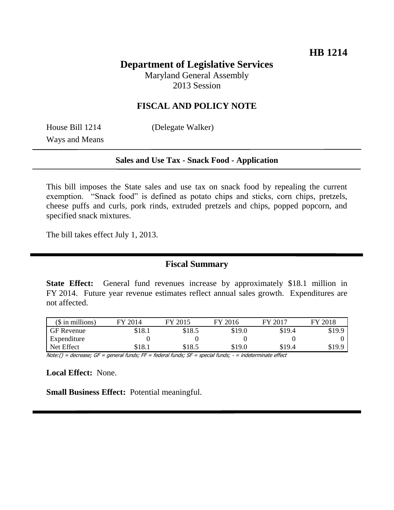# **Department of Legislative Services**

Maryland General Assembly 2013 Session

#### **FISCAL AND POLICY NOTE**

House Bill 1214 (Delegate Walker) Ways and Means

#### **Sales and Use Tax - Snack Food - Application**

This bill imposes the State sales and use tax on snack food by repealing the current exemption. "Snack food" is defined as potato chips and sticks, corn chips, pretzels, cheese puffs and curls, pork rinds, extruded pretzels and chips, popped popcorn, and specified snack mixtures.

The bill takes effect July 1, 2013.

## **Fiscal Summary**

**State Effect:** General fund revenues increase by approximately \$18.1 million in FY 2014. Future year revenue estimates reflect annual sales growth. Expenditures are not affected.

| $$$ in millions)  | FY 2014 | FY 2015 | FY 2016 | FY 2017 | FY 2018 |
|-------------------|---------|---------|---------|---------|---------|
| <b>GF</b> Revenue | \$18.1  | \$18.5  | \$19.0  | \$19.4  | \$19.9  |
| Expenditure       |         |         |         |         |         |
| Net Effect        | \$18.1  | \$18.5  | \$19.0  | \$19.4  | \$19.9  |

Note:() = decrease; GF = general funds; FF = federal funds; SF = special funds; - = indeterminate effect

**Local Effect:** None.

**Small Business Effect:** Potential meaningful.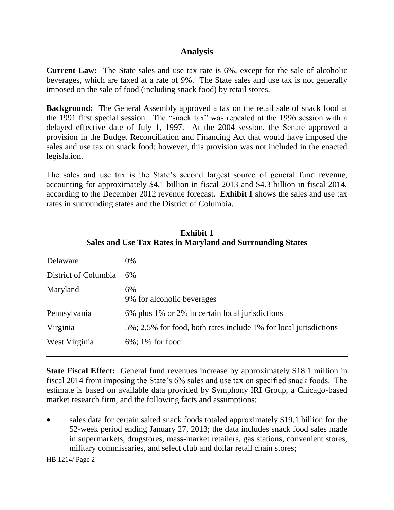## **Analysis**

**Current Law:** The State sales and use tax rate is 6%, except for the sale of alcoholic beverages, which are taxed at a rate of 9%. The State sales and use tax is not generally imposed on the sale of food (including snack food) by retail stores.

**Background:** The General Assembly approved a tax on the retail sale of snack food at the 1991 first special session. The "snack tax" was repealed at the 1996 session with a delayed effective date of July 1, 1997. At the 2004 session, the Senate approved a provision in the Budget Reconciliation and Financing Act that would have imposed the sales and use tax on snack food; however, this provision was not included in the enacted legislation.

The sales and use tax is the State's second largest source of general fund revenue, accounting for approximately \$4.1 billion in fiscal 2013 and \$4.3 billion in fiscal 2014, according to the December 2012 revenue forecast. **Exhibit 1** shows the sales and use tax rates in surrounding states and the District of Columbia.

| <b>Exhibit 1</b><br>Sales and Use Tax Rates in Maryland and Surrounding States |                                                                  |  |  |  |
|--------------------------------------------------------------------------------|------------------------------------------------------------------|--|--|--|
| Delaware                                                                       | 0%                                                               |  |  |  |
| District of Columbia                                                           | 6%                                                               |  |  |  |
| Maryland                                                                       | 6%<br>9% for alcoholic beverages                                 |  |  |  |
| Pennsylvania                                                                   | 6% plus 1% or 2% in certain local jurisdictions                  |  |  |  |
| Virginia                                                                       | 5%; 2.5% for food, both rates include 1% for local jurisdictions |  |  |  |
| West Virginia                                                                  | $6\%$ ; 1% for food                                              |  |  |  |
|                                                                                |                                                                  |  |  |  |

**State Fiscal Effect:** General fund revenues increase by approximately \$18.1 million in fiscal 2014 from imposing the State's 6% sales and use tax on specified snack foods. The estimate is based on available data provided by Symphony IRI Group, a Chicago-based market research firm, and the following facts and assumptions:

 sales data for certain salted snack foods totaled approximately \$19.1 billion for the 52-week period ending January 27, 2013; the data includes snack food sales made in supermarkets, drugstores, mass-market retailers, gas stations, convenient stores, military commissaries, and select club and dollar retail chain stores;